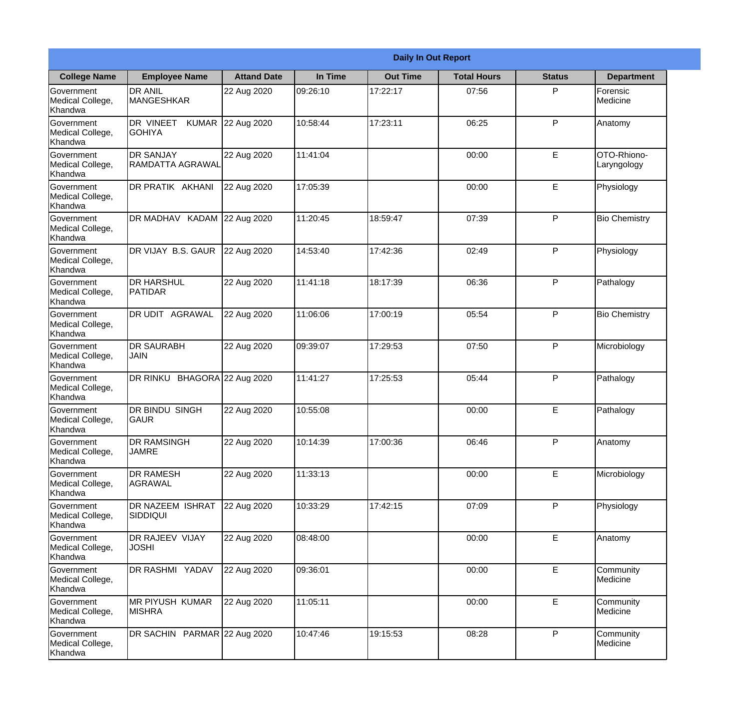|                                                  |                                            | <b>Daily In Out Report</b> |          |                 |                    |               |                            |  |  |
|--------------------------------------------------|--------------------------------------------|----------------------------|----------|-----------------|--------------------|---------------|----------------------------|--|--|
| <b>College Name</b>                              | <b>Employee Name</b>                       | <b>Attand Date</b>         | In Time  | <b>Out Time</b> | <b>Total Hours</b> | <b>Status</b> | <b>Department</b>          |  |  |
| Government<br>Medical College,<br>Khandwa        | <b>DR ANIL</b><br><b>MANGESHKAR</b>        | 22 Aug 2020                | 09:26:10 | 17:22:17        | 07:56              | P             | Forensic<br>Medicine       |  |  |
| Government<br>Medical College,<br>Khandwa        | DR VINEET<br><b>KUMAR</b><br><b>GOHIYA</b> | 22 Aug 2020                | 10:58:44 | 17:23:11        | 06:25              | P             | Anatomy                    |  |  |
| <b>Government</b><br>Medical College,<br>Khandwa | <b>DR SANJAY</b><br>RAMDATTA AGRAWAL       | 22 Aug 2020                | 11:41:04 |                 | 00:00              | E             | OTO-Rhiono-<br>Laryngology |  |  |
| <b>Government</b><br>Medical College,<br>Khandwa | DR PRATIK AKHANI                           | 22 Aug 2020                | 17:05:39 |                 | 00:00              | E             | Physiology                 |  |  |
| Government<br>Medical College,<br>Khandwa        | DR MADHAV KADAM 22 Aug 2020                |                            | 11:20:45 | 18:59:47        | 07:39              | P             | <b>Bio Chemistry</b>       |  |  |
| Government<br>Medical College,<br>Khandwa        | DR VIJAY B.S. GAUR                         | 22 Aug 2020                | 14:53:40 | 17:42:36        | 02:49              | P             | Physiology                 |  |  |
| <b>Government</b><br>Medical College,<br>Khandwa | <b>DR HARSHUL</b><br><b>PATIDAR</b>        | 22 Aug 2020                | 11:41:18 | 18:17:39        | 06:36              | P             | Pathalogy                  |  |  |
| <b>Government</b><br>Medical College,<br>Khandwa | DR UDIT AGRAWAL                            | 22 Aug 2020                | 11:06:06 | 17:00:19        | 05:54              | P             | <b>Bio Chemistry</b>       |  |  |
| Government<br>Medical College,<br>Khandwa        | <b>DR SAURABH</b><br><b>JAIN</b>           | 22 Aug 2020                | 09:39:07 | 17:29:53        | 07:50              | P             | Microbiology               |  |  |
| Government<br>Medical College,<br>Khandwa        | DR RINKU                                   | BHAGORA 22 Aug 2020        | 11:41:27 | 17:25:53        | 05:44              | P             | Pathalogy                  |  |  |
| Government<br>Medical College,<br>Khandwa        | <b>DR BINDU SINGH</b><br>GAUR              | 22 Aug 2020                | 10:55:08 |                 | 00:00              | E             | Pathalogy                  |  |  |
| Government<br>Medical College,<br>Khandwa        | <b>DR RAMSINGH</b><br><b>JAMRE</b>         | 22 Aug 2020                | 10:14:39 | 17:00:36        | 06:46              | P             | Anatomy                    |  |  |
| Government<br>Medical College,<br>Khandwa        | <b>DR RAMESH</b><br>AGRAWAL                | 22 Aug 2020                | 11:33:13 |                 | 00:00              | E             | Microbiology               |  |  |
| Government<br>Medical College,<br>Khandwa        | DR NAZEEM ISHRAT<br><b>SIDDIQUI</b>        | 22 Aug 2020                | 10:33:29 | 17:42:15        | 07:09              | P             | Physiology                 |  |  |
| <b>Government</b><br>Medical College,<br>Khandwa | DR RAJEEV VIJAY<br><b>JOSHI</b>            | 22 Aug 2020                | 08:48:00 |                 | 00:00              | E             | Anatomy                    |  |  |
| Government<br>Medical College,<br>Khandwa        | DR RASHMI YADAV                            | 22 Aug 2020                | 09:36:01 |                 | 00:00              | E             | Community<br>Medicine      |  |  |
| Government<br>Medical College,<br>Khandwa        | <b>MR PIYUSH KUMAR</b><br><b>MISHRA</b>    | 22 Aug 2020                | 11:05:11 |                 | 00:00              | E             | Community<br>Medicine      |  |  |
| Government<br>Medical College,<br>Khandwa        | DR SACHIN PARMAR 22 Aug 2020               |                            | 10:47:46 | 19:15:53        | 08:28              | P             | Community<br>Medicine      |  |  |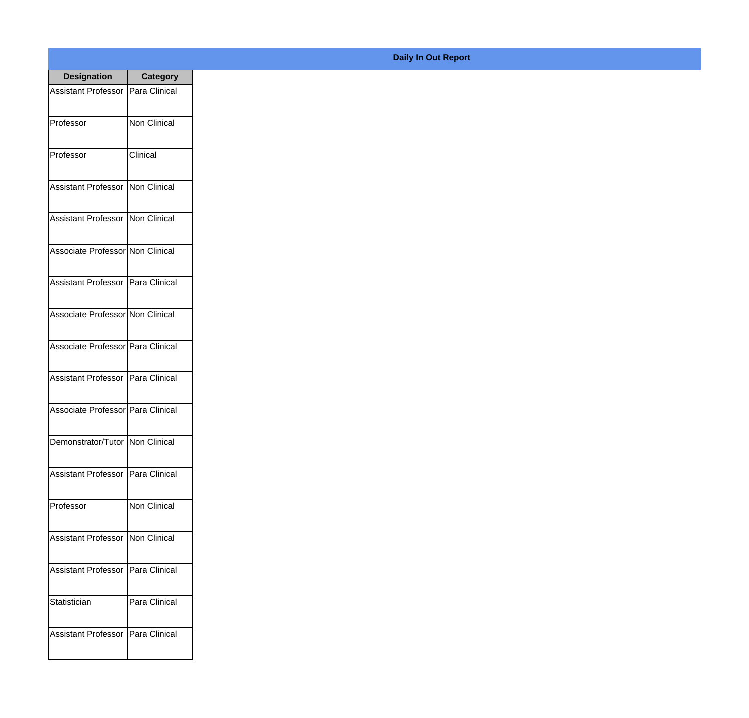| <b>Designation</b>                  | <b>Category</b>     |
|-------------------------------------|---------------------|
| <b>Assistant Professor</b>          | Para Clinical       |
| Professor                           | <b>Non Clinical</b> |
| Professor                           | Clinical            |
| <b>Assistant Professor</b>          | Non Clinical        |
| <b>Assistant Professor</b>          | Non Clinical        |
| Associate Professor Non Clinical    |                     |
| Assistant Professor   Para Clinical |                     |
| Associate Professor Non Clinical    |                     |
| Associate Professor Para Clinical   |                     |
| <b>Assistant Professor</b>          | Para Clinical       |
| Associate Professor Para Clinical   |                     |
| Demonstrator/Tutor   Non Clinical   |                     |
| <b>Assistant Professor</b>          | Para Clinical       |
| Professor                           | Non Clinical        |
| <b>Assistant Professor</b>          | Non Clinical        |
| <b>Assistant Professor</b>          | Para Clinical       |
| Statistician                        | Para Clinical       |
| <b>Assistant Professor</b>          | Para Clinical       |

## **Daily In Out Report**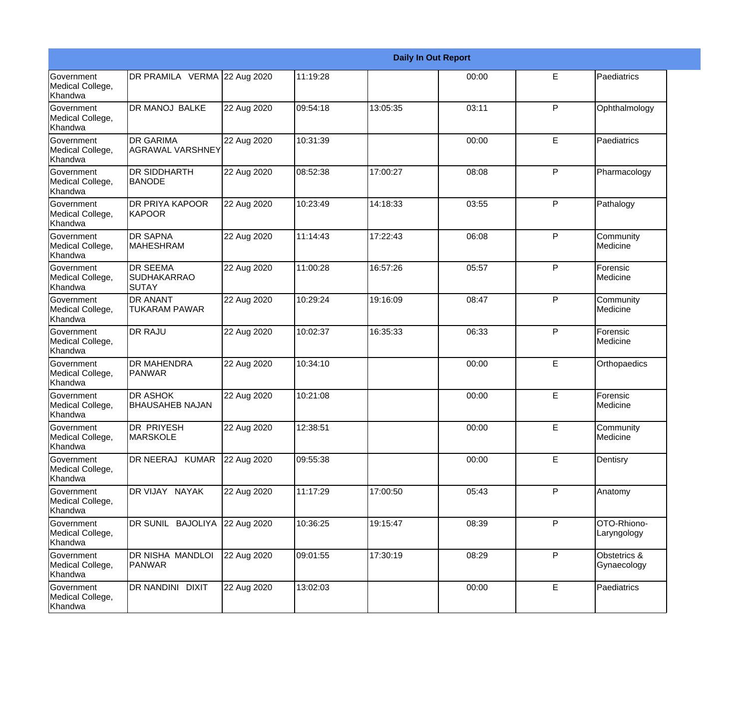|                                                  |                                                       |             |          |          | <b>Daily In Out Report</b> |              |                             |
|--------------------------------------------------|-------------------------------------------------------|-------------|----------|----------|----------------------------|--------------|-----------------------------|
| Government<br>Medical College,<br>Khandwa        | DR PRAMILA VERMA 22 Aug 2020                          |             | 11:19:28 |          | 00:00                      | E            | Paediatrics                 |
| Government<br>Medical College,<br>Khandwa        | DR MANOJ BALKE                                        | 22 Aug 2020 | 09:54:18 | 13:05:35 | 03:11                      | P            | Ophthalmology               |
| <b>Government</b><br>Medical College,<br>Khandwa | <b>DR GARIMA</b><br>AGRAWAL VARSHNEY                  | 22 Aug 2020 | 10:31:39 |          | 00:00                      | E            | Paediatrics                 |
| <b>Government</b><br>Medical College,<br>Khandwa | <b>DR SIDDHARTH</b><br><b>BANODE</b>                  | 22 Aug 2020 | 08:52:38 | 17:00:27 | 08:08                      | P            | Pharmacology                |
| <b>Government</b><br>Medical College,<br>Khandwa | <b>DR PRIYA KAPOOR</b><br>KAPOOR                      | 22 Aug 2020 | 10:23:49 | 14:18:33 | 03:55                      | P            | Pathalogy                   |
| <b>Government</b><br>Medical College,<br>Khandwa | <b>DR SAPNA</b><br><b>MAHESHRAM</b>                   | 22 Aug 2020 | 11:14:43 | 17:22:43 | 06:08                      | P            | Community<br>Medicine       |
| Government<br>Medical College,<br>Khandwa        | <b>DR SEEMA</b><br><b>SUDHAKARRAO</b><br><b>SUTAY</b> | 22 Aug 2020 | 11:00:28 | 16:57:26 | 05:57                      | P            | Forensic<br>Medicine        |
| <b>Government</b><br>Medical College,<br>Khandwa | <b>DR ANANT</b><br><b>TUKARAM PAWAR</b>               | 22 Aug 2020 | 10:29:24 | 19:16:09 | 08:47                      | $\mathsf{P}$ | Community<br>Medicine       |
| Government<br>Medical College,<br>Khandwa        | <b>DR RAJU</b>                                        | 22 Aug 2020 | 10:02:37 | 16:35:33 | 06:33                      | $\mathsf{P}$ | Forensic<br>Medicine        |
| <b>Government</b><br>Medical College,<br>Khandwa | <b>DR MAHENDRA</b><br><b>PANWAR</b>                   | 22 Aug 2020 | 10:34:10 |          | 00:00                      | E            | Orthopaedics                |
| <b>Government</b><br>Medical College,<br>Khandwa | <b>DR ASHOK</b><br><b>BHAUSAHEB NAJAN</b>             | 22 Aug 2020 | 10:21:08 |          | 00:00                      | E            | Forensic<br>Medicine        |
| Government<br>Medical College,<br>Khandwa        | <b>DR PRIYESH</b><br><b>MARSKOLE</b>                  | 22 Aug 2020 | 12:38:51 |          | 00:00                      | E            | Community<br>Medicine       |
| Government<br>Medical College,<br>Khandwa        | DR NEERAJ KUMAR                                       | 22 Aug 2020 | 09:55:38 |          | 00:00                      | E            | Dentisry                    |
| Government<br>Medical College,<br>Khandwa        | DR VIJAY NAYAK                                        | 22 Aug 2020 | 11:17:29 | 17:00:50 | 05:43                      | P            | Anatomy                     |
| Government<br>Medical College,<br>Khandwa        | DR SUNIL BAJOLIYA                                     | 22 Aug 2020 | 10:36:25 | 19:15:47 | 08:39                      | P            | OTO-Rhiono-<br>Laryngology  |
| Government<br>Medical College,<br>Khandwa        | DR NISHA MANDLOI<br>PANWAR                            | 22 Aug 2020 | 09:01:55 | 17:30:19 | 08:29                      | P            | Obstetrics &<br>Gynaecology |
| Government<br>Medical College,<br>Khandwa        | DR NANDINI DIXIT                                      | 22 Aug 2020 | 13:02:03 |          | 00:00                      | $\mathsf E$  | Paediatrics                 |